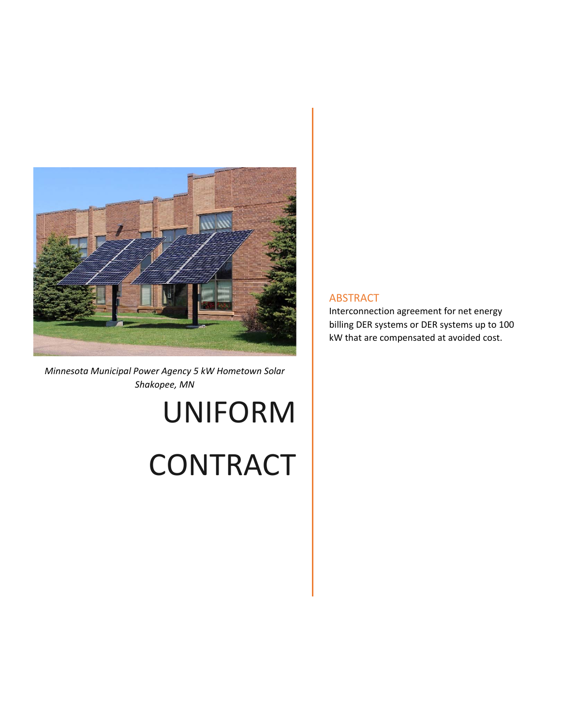

*Minnesota Municipal Power Agency 5 kW Hometown Solar Shakopee, MN* 

# UNIFORM

## **CONTRACT**

#### ABSTRACT

Interconnection agreement for net energy billing DER systems or DER systems up to 100 kW that are compensated at avoided cost.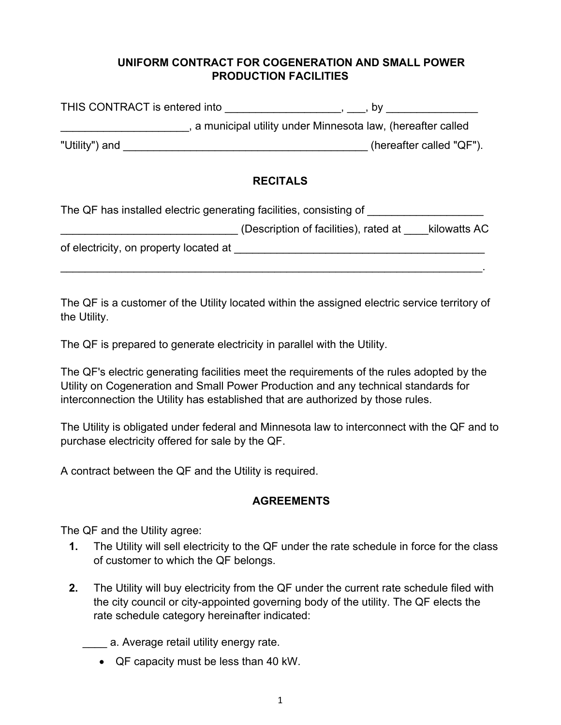### **UNIFORM CONTRACT FOR COGENERATION AND SMALL POWER PRODUCTION FACILITIES**

| THIS CONTRACT is entered into |                                                            |
|-------------------------------|------------------------------------------------------------|
|                               | a municipal utility under Minnesota law, (hereafter called |
| "Utility") and                | (hereafter called "QF").                                   |

#### **RECITALS**

| The QF has installed electric generating facilities, consisting of |                                       |              |
|--------------------------------------------------------------------|---------------------------------------|--------------|
|                                                                    | (Description of facilities), rated at | kilowatts AC |
| of electricity, on property located at                             |                                       |              |
|                                                                    |                                       |              |

The QF is a customer of the Utility located within the assigned electric service territory of the Utility.

The QF is prepared to generate electricity in parallel with the Utility.

The QF's electric generating facilities meet the requirements of the rules adopted by the Utility on Cogeneration and Small Power Production and any technical standards for interconnection the Utility has established that are authorized by those rules.

The Utility is obligated under federal and Minnesota law to interconnect with the QF and to purchase electricity offered for sale by the QF.

A contract between the QF and the Utility is required.

### **AGREEMENTS**

The QF and the Utility agree:

- **1.** The Utility will sell electricity to the QF under the rate schedule in force for the class of customer to which the QF belongs.
- **2.** The Utility will buy electricity from the QF under the current rate schedule filed with the city council or city-appointed governing body of the utility. The QF elects the rate schedule category hereinafter indicated:

\_\_\_\_ a. Average retail utility energy rate.

QF capacity must be less than 40 kW.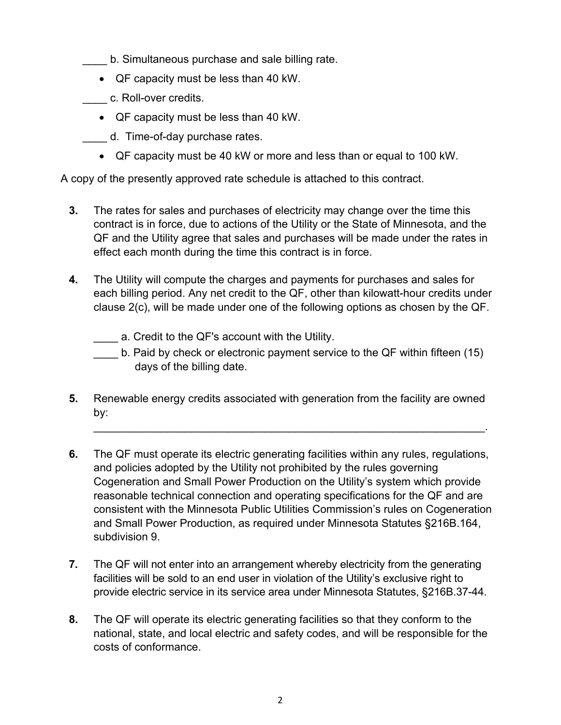- \_\_\_\_ b. Simultaneous purchase and sale billing rate.
- QF capacity must be less than 40 kW.
- \_\_\_\_ c. Roll-over credits.
	- QF capacity must be less than 40 kW.
- \_\_\_\_ d. Time-of-day purchase rates.
	- QF capacity must be 40 kW or more and less than or equal to 100 kW.

A copy of the presently approved rate schedule is attached to this contract.

- **3.** The rates for sales and purchases of electricity may change over the time this contract is in force, due to actions of the Utility or the State of Minnesota, and the QF and the Utility agree that sales and purchases will be made under the rates in effect each month during the time this contract is in force.
- **4.** The Utility will compute the charges and payments for purchases and sales for each billing period. Any net credit to the QF, other than kilowatt-hour credits under clause 2(c), will be made under one of the following options as chosen by the QF.
	- a. Credit to the QF's account with the Utility.
	- b. Paid by check or electronic payment service to the QF within fifteen (15) days of the billing date.

\_\_\_\_\_\_\_\_\_\_\_\_\_\_\_\_\_\_\_\_\_\_\_\_\_\_\_\_\_\_\_\_\_\_\_\_\_\_\_\_\_\_\_\_\_\_\_\_\_\_\_\_\_\_\_\_\_\_\_\_\_\_\_\_.

- **5.** Renewable energy credits associated with generation from the facility are owned by:
- **6.** The QF must operate its electric generating facilities within any rules, regulations, and policies adopted by the Utility not prohibited by the rules governing Cogeneration and Small Power Production on the Utility's system which provide reasonable technical connection and operating specifications for the QF and are consistent with the Minnesota Public Utilities Commission's rules on Cogeneration and Small Power Production, as required under Minnesota Statutes §216B.164, subdivision 9.
- **7.** The QF will not enter into an arrangement whereby electricity from the generating facilities will be sold to an end user in violation of the Utility's exclusive right to provide electric service in its service area under Minnesota Statutes, §216B.37-44.
- **8.** The QF will operate its electric generating facilities so that they conform to the national, state, and local electric and safety codes, and will be responsible for the costs of conformance.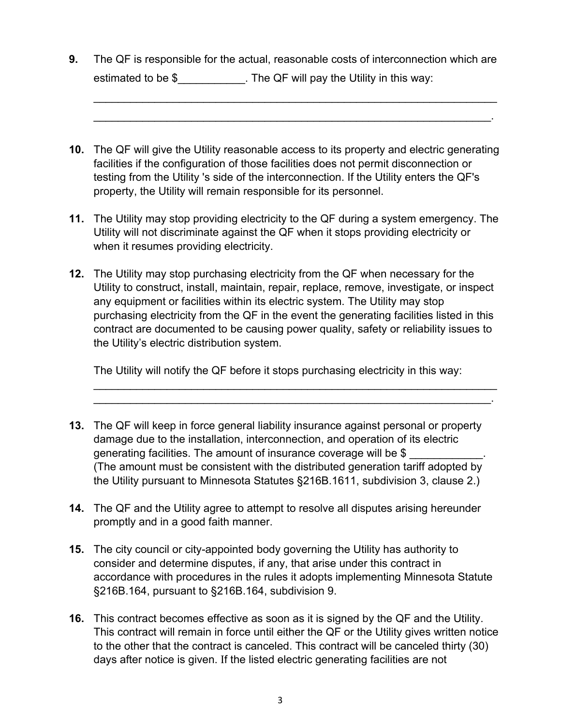**9.** The QF is responsible for the actual, reasonable costs of interconnection which are estimated to be \$ The QF will pay the Utility in this way:

 $\mathcal{L}_\mathcal{L} = \mathcal{L}_\mathcal{L} = \mathcal{L}_\mathcal{L} = \mathcal{L}_\mathcal{L} = \mathcal{L}_\mathcal{L} = \mathcal{L}_\mathcal{L} = \mathcal{L}_\mathcal{L} = \mathcal{L}_\mathcal{L} = \mathcal{L}_\mathcal{L} = \mathcal{L}_\mathcal{L} = \mathcal{L}_\mathcal{L} = \mathcal{L}_\mathcal{L} = \mathcal{L}_\mathcal{L} = \mathcal{L}_\mathcal{L} = \mathcal{L}_\mathcal{L} = \mathcal{L}_\mathcal{L} = \mathcal{L}_\mathcal{L}$ 

\_\_\_\_\_\_\_\_\_\_\_\_\_\_\_\_\_\_\_\_\_\_\_\_\_\_\_\_\_\_\_\_\_\_\_\_\_\_\_\_\_\_\_\_\_\_\_\_\_\_\_\_\_\_\_\_\_\_\_\_\_\_\_\_\_.

- **10.** The QF will give the Utility reasonable access to its property and electric generating facilities if the configuration of those facilities does not permit disconnection or testing from the Utility 's side of the interconnection. If the Utility enters the QF's property, the Utility will remain responsible for its personnel.
- **11.** The Utility may stop providing electricity to the QF during a system emergency. The Utility will not discriminate against the QF when it stops providing electricity or when it resumes providing electricity.
- **12.** The Utility may stop purchasing electricity from the QF when necessary for the Utility to construct, install, maintain, repair, replace, remove, investigate, or inspect any equipment or facilities within its electric system. The Utility may stop purchasing electricity from the QF in the event the generating facilities listed in this contract are documented to be causing power quality, safety or reliability issues to the Utility's electric distribution system.

The Utility will notify the QF before it stops purchasing electricity in this way:

\_\_\_\_\_\_\_\_\_\_\_\_\_\_\_\_\_\_\_\_\_\_\_\_\_\_\_\_\_\_\_\_\_\_\_\_\_\_\_\_\_\_\_\_\_\_\_\_\_\_\_\_\_\_\_\_\_\_\_\_\_\_\_\_\_\_ \_\_\_\_\_\_\_\_\_\_\_\_\_\_\_\_\_\_\_\_\_\_\_\_\_\_\_\_\_\_\_\_\_\_\_\_\_\_\_\_\_\_\_\_\_\_\_\_\_\_\_\_\_\_\_\_\_\_\_\_\_\_\_\_\_.

- **13.** The QF will keep in force general liability insurance against personal or property damage due to the installation, interconnection, and operation of its electric generating facilities. The amount of insurance coverage will be \$ (The amount must be consistent with the distributed generation tariff adopted by the Utility pursuant to Minnesota Statutes §216B.1611, subdivision 3, clause 2.)
- **14.** The QF and the Utility agree to attempt to resolve all disputes arising hereunder promptly and in a good faith manner.
- **15.** The city council or city-appointed body governing the Utility has authority to consider and determine disputes, if any, that arise under this contract in accordance with procedures in the rules it adopts implementing Minnesota Statute §216B.164, pursuant to §216B.164, subdivision 9.
- **16.** This contract becomes effective as soon as it is signed by the QF and the Utility. This contract will remain in force until either the QF or the Utility gives written notice to the other that the contract is canceled. This contract will be canceled thirty (30) days after notice is given. If the listed electric generating facilities are not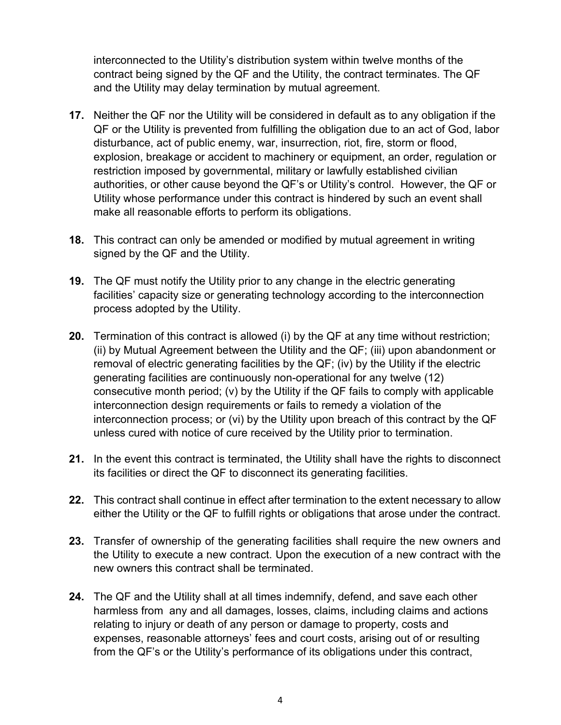interconnected to the Utility's distribution system within twelve months of the contract being signed by the QF and the Utility, the contract terminates. The QF and the Utility may delay termination by mutual agreement.

- **17.** Neither the QF nor the Utility will be considered in default as to any obligation if the QF or the Utility is prevented from fulfilling the obligation due to an act of God, labor disturbance, act of public enemy, war, insurrection, riot, fire, storm or flood, explosion, breakage or accident to machinery or equipment, an order, regulation or restriction imposed by governmental, military or lawfully established civilian authorities, or other cause beyond the QF's or Utility's control. However, the QF or Utility whose performance under this contract is hindered by such an event shall make all reasonable efforts to perform its obligations.
- **18.** This contract can only be amended or modified by mutual agreement in writing signed by the QF and the Utility.
- **19.** The QF must notify the Utility prior to any change in the electric generating facilities' capacity size or generating technology according to the interconnection process adopted by the Utility.
- **20.** Termination of this contract is allowed (i) by the QF at any time without restriction; (ii) by Mutual Agreement between the Utility and the QF; (iii) upon abandonment or removal of electric generating facilities by the QF; (iv) by the Utility if the electric generating facilities are continuously non-operational for any twelve (12) consecutive month period; (v) by the Utility if the QF fails to comply with applicable interconnection design requirements or fails to remedy a violation of the interconnection process; or (vi) by the Utility upon breach of this contract by the QF unless cured with notice of cure received by the Utility prior to termination.
- **21.** In the event this contract is terminated, the Utility shall have the rights to disconnect its facilities or direct the QF to disconnect its generating facilities.
- **22.** This contract shall continue in effect after termination to the extent necessary to allow either the Utility or the QF to fulfill rights or obligations that arose under the contract.
- **23.** Transfer of ownership of the generating facilities shall require the new owners and the Utility to execute a new contract. Upon the execution of a new contract with the new owners this contract shall be terminated.
- **24.** The QF and the Utility shall at all times indemnify, defend, and save each other harmless from any and all damages, losses, claims, including claims and actions relating to injury or death of any person or damage to property, costs and expenses, reasonable attorneys' fees and court costs, arising out of or resulting from the QF's or the Utility's performance of its obligations under this contract,